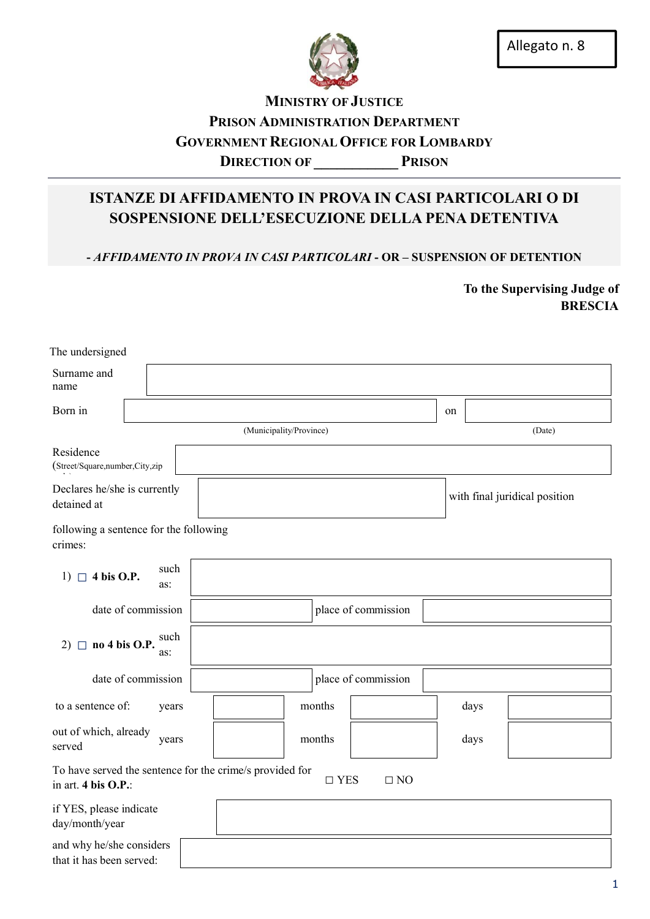

## MINISTRY OF JUSTICE PRISON ADMINISTRATION DEPARTMENT GOVERNMENT REGIONAL OFFICE FOR LOMBARDY DIRECTION OF PRISON

# ISTANZE DI AFFIDAMENTO IN PROVA IN CASI PARTICOLARI O DI SOSPENSIONE DELL'ESECUZIONE DELLA PENA DETENTIVA

- *AFFIDAMENTO IN PROVA IN CASI PARTICOLARI* - OR – SUSPENSION OF DETENTION

To the Supervising Judge of BRESCIA

| The undersigned                                                                             |  |                         |                     |                               |    |      |        |  |
|---------------------------------------------------------------------------------------------|--|-------------------------|---------------------|-------------------------------|----|------|--------|--|
| Surname and<br>name                                                                         |  |                         |                     |                               |    |      |        |  |
| Born in                                                                                     |  |                         |                     |                               | on |      |        |  |
|                                                                                             |  | (Municipality/Province) |                     |                               |    |      | (Date) |  |
| Residence<br>(Street/Square,number,City,zip                                                 |  |                         |                     |                               |    |      |        |  |
| Declares he/she is currently<br>detained at                                                 |  |                         |                     | with final juridical position |    |      |        |  |
| following a sentence for the following<br>crimes:                                           |  |                         |                     |                               |    |      |        |  |
| such<br>1) $\Box$ 4 bis O.P.<br>as:                                                         |  |                         |                     |                               |    |      |        |  |
| date of commission                                                                          |  |                         |                     | place of commission           |    |      |        |  |
| such<br>no 4 bis O.P.<br>$2)$ $\Box$<br>as:                                                 |  |                         |                     |                               |    |      |        |  |
| date of commission                                                                          |  |                         |                     | place of commission           |    |      |        |  |
| to a sentence of:<br>years                                                                  |  |                         | months              |                               |    | days |        |  |
| out of which, already<br>years<br>served                                                    |  | months                  |                     |                               |    | days |        |  |
| To have served the sentence for the crime/s provided for<br>in art. $4 \text{ bis } O.P.$ : |  |                         | $\hfill\Box$<br>YES | $\Box$ NO                     |    |      |        |  |
| if YES, please indicate<br>day/month/year                                                   |  |                         |                     |                               |    |      |        |  |
| and why he/she considers<br>that it has been served:                                        |  |                         |                     |                               |    |      |        |  |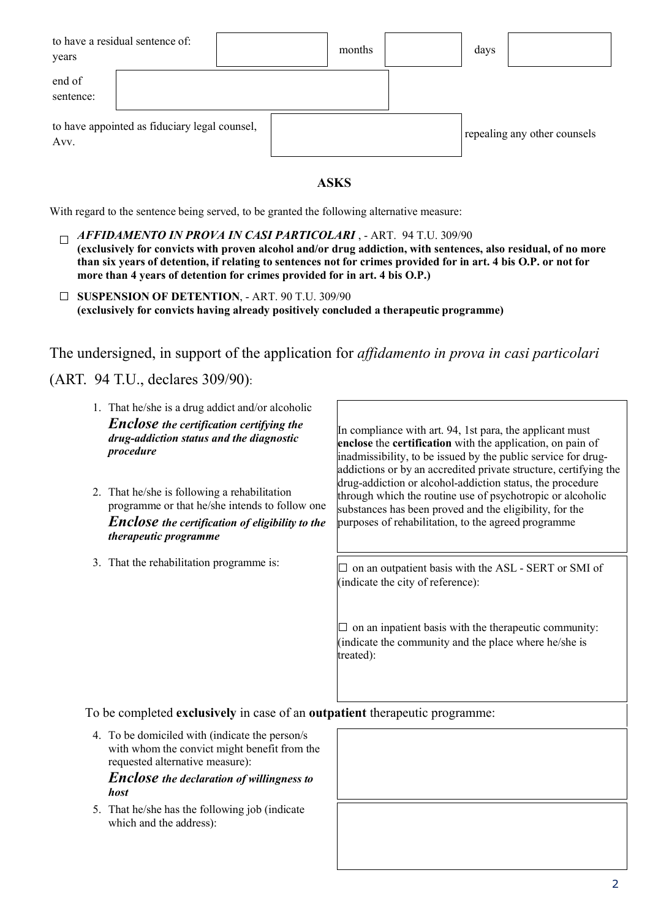| years               | to have a residual sentence of:               |  | months | days |                              |
|---------------------|-----------------------------------------------|--|--------|------|------------------------------|
| end of<br>sentence: |                                               |  |        |      |                              |
| Avv.                | to have appointed as fiduciary legal counsel, |  |        |      | repealing any other counsels |

### ASKS

With regard to the sentence being served, to be granted the following alternative measure:

- □ *AFFIDAMENTO IN PROVA IN CASI PARTICOLARI* , ART. 94 T.U. 309/90 (exclusively for convicts with proven alcohol and/or drug addiction, with sentences, also residual, of no more than six years of detention, if relating to sentences not for crimes provided for in art. 4 bis O.P. or not for more than 4 years of detention for crimes provided for in art. 4 bis O.P.)
- □ SUSPENSION OF DETENTION, ART. 90 T.U. 309/90 (exclusively for convicts having already positively concluded a therapeutic programme)

The undersigned, in support of the application for *affidamento in prova in casi particolari*

## (ART. 94 T.U., declares 309/90):

| 1. That he/she is a drug addict and/or alcoholic       | In compliance with art. 94, 1st para, the applicant must                                                                                                                                                                 |
|--------------------------------------------------------|--------------------------------------------------------------------------------------------------------------------------------------------------------------------------------------------------------------------------|
| <b>Enclose</b> the certification certifying the        | enclose the certification with the application, on pain of                                                                                                                                                               |
| drug-addiction status and the diagnostic               | inadmissibility, to be issued by the public service for drug-                                                                                                                                                            |
| procedure                                              | addictions or by an accredited private structure, certifying the                                                                                                                                                         |
| 2. That he/she is following a rehabilitation           | drug-addiction or alcohol-addiction status, the procedure                                                                                                                                                                |
| programme or that he/she intends to follow one         | through which the routine use of psychotropic or alcoholic                                                                                                                                                               |
| <b>Enclose</b> the certification of eligibility to the | substances has been proved and the eligibility, for the                                                                                                                                                                  |
| therapeutic programme                                  | purposes of rehabilitation, to the agreed programme                                                                                                                                                                      |
| 3. That the rehabilitation programme is:               | on an outpatient basis with the ASL - SERT or SMI of<br>(indicate the city of reference):<br>on an inpatient basis with the therapeutic community:<br>(indicate the community and the place where he/she is<br>treated): |

To be completed exclusively in case of an outpatient therapeutic programme:

4. To be domiciled with (indicate the person/s with whom the convict might benefit from the requested alternative measure):

*Enclose the declaration of willingness to host* 

5. That he/she has the following job (indicate which and the address):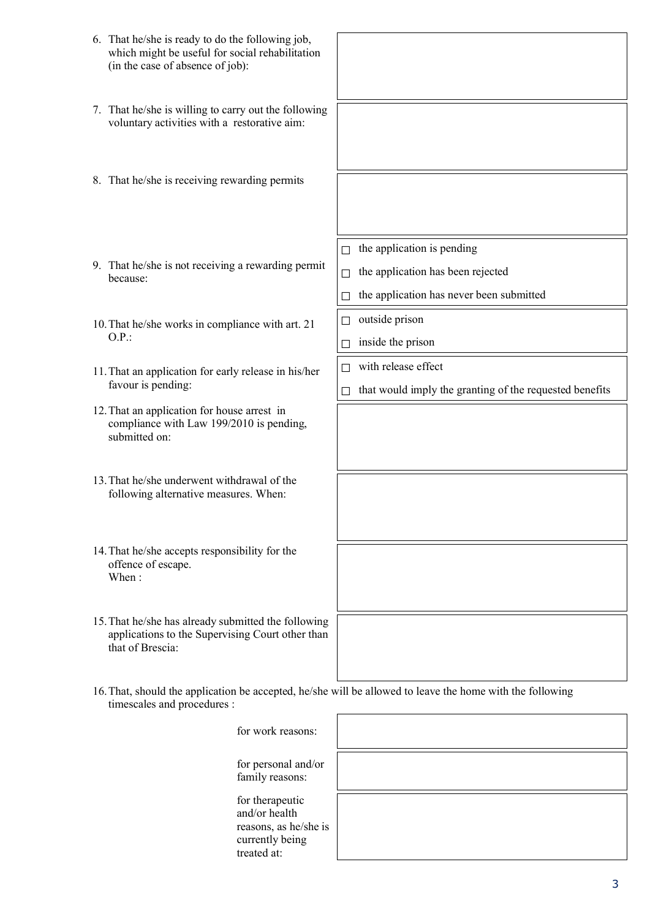| 6. That he/she is ready to do the following job,<br>which might be useful for social rehabilitation<br>(in the case of absence of job):  |                                                                                                     |
|------------------------------------------------------------------------------------------------------------------------------------------|-----------------------------------------------------------------------------------------------------|
| 7. That he/she is willing to carry out the following<br>voluntary activities with a restorative aim:                                     |                                                                                                     |
| 8. That he/she is receiving rewarding permits                                                                                            |                                                                                                     |
| 9. That he/she is not receiving a rewarding permit<br>because:                                                                           | the application is pending<br>П<br>the application has been rejected<br>$\Box$                      |
| 10. That he/she works in compliance with art. 21<br>O.P.                                                                                 | the application has never been submitted<br>□<br>outside prison<br>□<br>inside the prison<br>$\Box$ |
| 11. That an application for early release in his/her<br>favour is pending:                                                               | with release effect<br>П<br>that would imply the granting of the requested benefits<br>□            |
| 12. That an application for house arrest in<br>compliance with Law 199/2010 is pending,<br>submitted on:                                 |                                                                                                     |
| 13. That he/she underwent withdrawal of the<br>following alternative measures. When:                                                     |                                                                                                     |
| 14. That he/she accepts responsibility for the<br>offence of escape.<br>When:                                                            |                                                                                                     |
| 15. That he/she has already submitted the following<br>applications to the Supervising Court other than<br>that of Brescia:              |                                                                                                     |
| 16. That, should the application be accepted, he/she will be allowed to leave the home with the following<br>timescales and procedures : |                                                                                                     |
| for work reasons:                                                                                                                        |                                                                                                     |
| for personal and/or<br>family reasons:                                                                                                   |                                                                                                     |
| for therapeutic<br>and/or health<br>reasons, as he/she is<br>currently being<br>treated at:                                              |                                                                                                     |